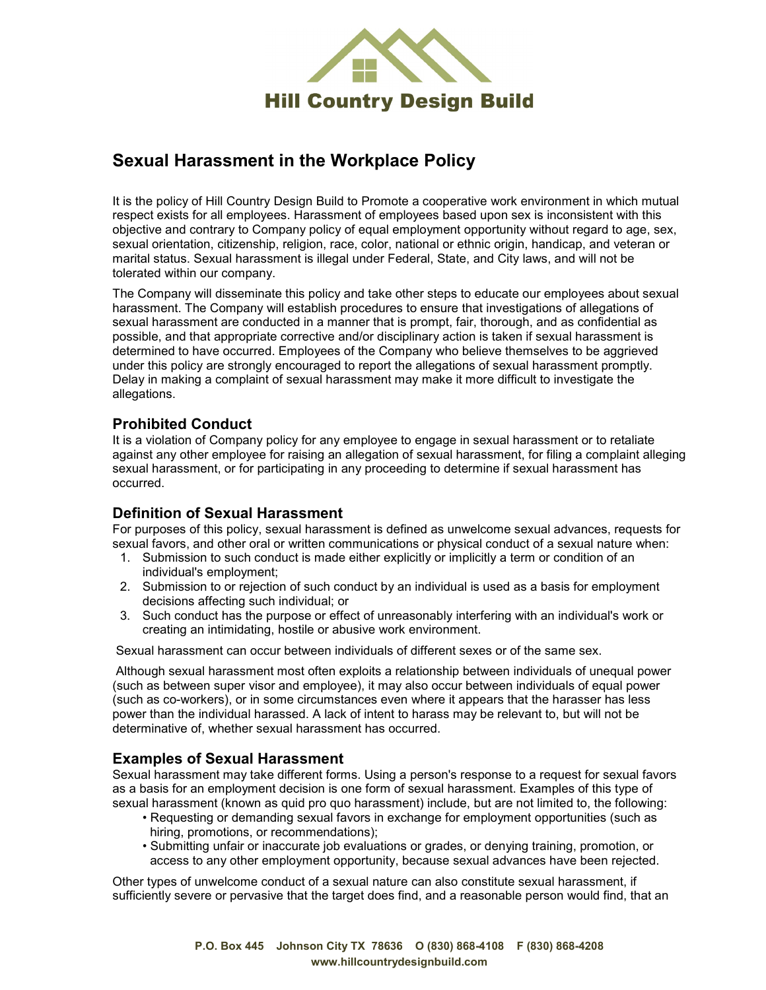

# **Sexual Harassment in the Workplace Policy**

It is the policy of Hill Country Design Build to Promote a cooperative work environment in which mutual respect exists for all employees. Harassment of employees based upon sex is inconsistent with this objective and contrary to Company policy of equal employment opportunity without regard to age, sex, sexual orientation, citizenship, religion, race, color, national or ethnic origin, handicap, and veteran or marital status. Sexual harassment is illegal under Federal, State, and City laws, and will not be tolerated within our company.

The Company will disseminate this policy and take other steps to educate our employees about sexual harassment. The Company will establish procedures to ensure that investigations of allegations of sexual harassment are conducted in a manner that is prompt, fair, thorough, and as confidential as possible, and that appropriate corrective and/or disciplinary action is taken if sexual harassment is determined to have occurred. Employees of the Company who believe themselves to be aggrieved under this policy are strongly encouraged to report the allegations of sexual harassment promptly. Delay in making a complaint of sexual harassment may make it more difficult to investigate the allegations.

# **Prohibited Conduct**

It is a violation of Company policy for any employee to engage in sexual harassment or to retaliate against any other employee for raising an allegation of sexual harassment, for filing a complaint alleging sexual harassment, or for participating in any proceeding to determine if sexual harassment has occurred.

# **Definition of Sexual Harassment**

For purposes of this policy, sexual harassment is defined as unwelcome sexual advances, requests for sexual favors, and other oral or written communications or physical conduct of a sexual nature when:

- 1. Submission to such conduct is made either explicitly or implicitly a term or condition of an individual's employment;
- 2. Submission to or rejection of such conduct by an individual is used as a basis for employment decisions affecting such individual; or
- 3. Such conduct has the purpose or effect of unreasonably interfering with an individual's work or creating an intimidating, hostile or abusive work environment.

Sexual harassment can occur between individuals of different sexes or of the same sex.

Although sexual harassment most often exploits a relationship between individuals of unequal power (such as between super visor and employee), it may also occur between individuals of equal power (such as co-workers), or in some circumstances even where it appears that the harasser has less power than the individual harassed. A lack of intent to harass may be relevant to, but will not be determinative of, whether sexual harassment has occurred.

# **Examples of Sexual Harassment**

Sexual harassment may take different forms. Using a person's response to a request for sexual favors as a basis for an employment decision is one form of sexual harassment. Examples of this type of sexual harassment (known as quid pro quo harassment) include, but are not limited to, the following:

- Requesting or demanding sexual favors in exchange for employment opportunities (such as hiring, promotions, or recommendations);
- Submitting unfair or inaccurate job evaluations or grades, or denying training, promotion, or access to any other employment opportunity, because sexual advances have been rejected.

Other types of unwelcome conduct of a sexual nature can also constitute sexual harassment, if sufficiently severe or pervasive that the target does find, and a reasonable person would find, that an